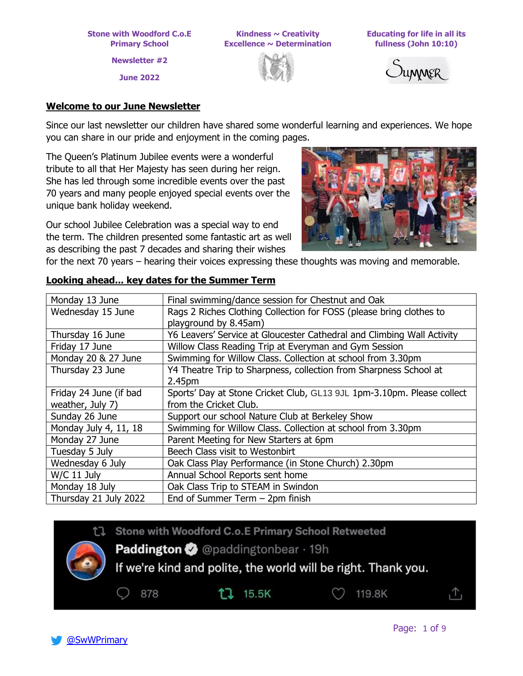**Stone with Woodford C.o.E Primary School Newsletter #2**

**June 2022**

**Kindness ~ Creativity Excellence ~ Determination**





#### **Welcome to our June Newsletter**

Since our last newsletter our children have shared some wonderful learning and experiences. We hope you can share in our pride and enjoyment in the coming pages.

The Queen's Platinum Jubilee events were a wonderful tribute to all that Her Majesty has seen during her reign. She has led through some incredible events over the past 70 years and many people enjoyed special events over the unique bank holiday weekend.

Our school Jubilee Celebration was a special way to end the term. The children presented some fantastic art as well as describing the past 7 decades and sharing their wishes



for the next 70 years – hearing their voices expressing these thoughts was moving and memorable.

| Monday 13 June         | Final swimming/dance session for Chestnut and Oak                      |
|------------------------|------------------------------------------------------------------------|
| Wednesday 15 June      | Rags 2 Riches Clothing Collection for FOSS (please bring clothes to    |
|                        | playground by 8.45am)                                                  |
| Thursday 16 June       | Y6 Leavers' Service at Gloucester Cathedral and Climbing Wall Activity |
| Friday 17 June         | Willow Class Reading Trip at Everyman and Gym Session                  |
| Monday 20 & 27 June    | Swimming for Willow Class. Collection at school from 3.30pm            |
| Thursday 23 June       | Y4 Theatre Trip to Sharpness, collection from Sharpness School at      |
|                        | 2.45pm                                                                 |
| Friday 24 June (if bad | Sports' Day at Stone Cricket Club, GL13 9JL 1pm-3.10pm. Please collect |
| weather, July 7)       | from the Cricket Club.                                                 |
| Sunday 26 June         | Support our school Nature Club at Berkeley Show                        |
| Monday July 4, 11, 18  | Swimming for Willow Class. Collection at school from 3.30pm            |
| Monday 27 June         | Parent Meeting for New Starters at 6pm                                 |
| Tuesday 5 July         | Beech Class visit to Westonbirt                                        |
| Wednesday 6 July       | Oak Class Play Performance (in Stone Church) 2.30pm                    |
| $W/C$ 11 July          | Annual School Reports sent home                                        |
| Monday 18 July         | Oak Class Trip to STEAM in Swindon                                     |
| Thursday 21 July 2022  | End of Summer Term $-$ 2pm finish                                      |

#### **Looking ahead... key dates for the Summer Term**



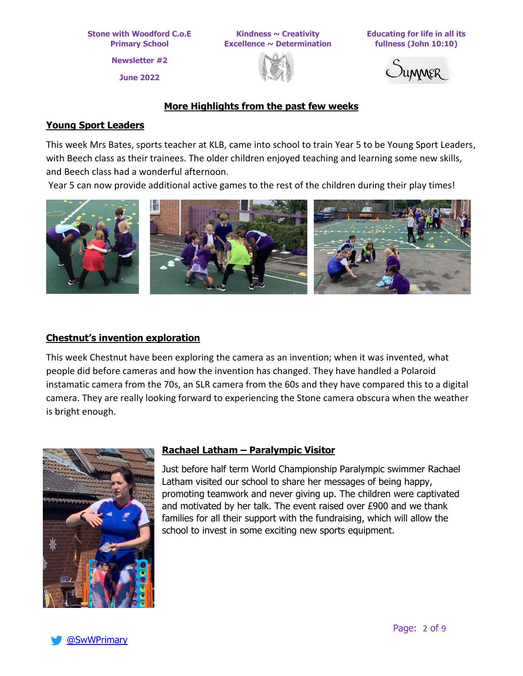> **Newsletter #2 June 2022**

**Kindness ~ Creativity Excellence ~ Determination**



**Educating for life in all its fullness (John 10:10)**



### **More Highlights from the past few weeks**

### **Young Sport Leaders**

This week Mrs Bates, sports teacher at KLB, came into school to train Year 5 to be Young Sport Leaders, with Beech class as their trainees. The older children enjoyed teaching and learning some new skills, and Beech class had a wonderful afternoon.

Year 5 can now provide additional active games to the rest of the children during their play times!



### **Chestnut's invention exploration**

This week Chestnut have been exploring the camera as an invention; when it was invented, what people did before cameras and how the invention has changed. They have handled a Polaroid instamatic camera from the 70s, an SLR camera from the 60s and they have compared this to a digital camera. They are really looking forward to experiencing the Stone camera obscura when the weather is bright enough.



## **Rachael Latham – Paralympic Visitor**

Just before half term World Championship Paralympic swimmer Rachael Latham visited our school to share her messages of being happy, promoting teamwork and never giving up. The children were captivated and motivated by her talk. The event raised over £900 and we thank families for all their support with the fundraising, which will allow the school to invest in some exciting new sports equipment.

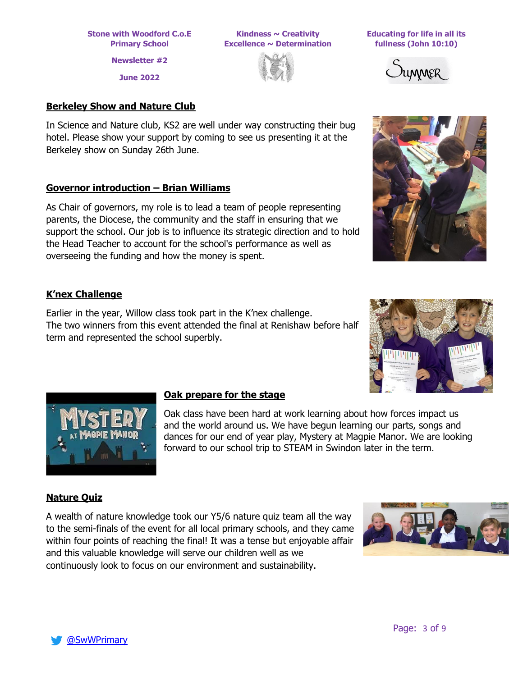**Newsletter #2**

**June 2022**

#### **Berkeley Show and Nature Club**

In Science and Nature club, KS2 are well under way constructing their bug hotel. Please show your support by coming to see us presenting it at the Berkeley show on Sunday 26th June.

### **Governor introduction – Brian Williams**

As Chair of governors, my role is to lead a team of people representing parents, the Diocese, the community and the staff in ensuring that we support the school. Our job is to influence its strategic direction and to hold the Head Teacher to account for the school's performance as well as overseeing the funding and how the money is spent.

### **K'nex Challenge**

Earlier in the year, Willow class took part in the K'nex challenge. The two winners from this event attended the final at Renishaw before half term and represented the school superbly.

#### **Oak prepare for the stage**

Oak class have been hard at work learning about how forces impact us and the world around us. We have begun learning our parts, songs and dances for our end of year play, Mystery at Magpie Manor. We are looking forward to our school trip to STEAM in Swindon later in the term.

# **Nature Quiz**

A wealth of nature knowledge took our Y5/6 nature quiz team all the way to the semi-finals of the event for all local primary schools, and they came within four points of reaching the final! It was a tense but enjoyable affair and this valuable knowledge will serve our children well as we continuously look to focus on our environment and sustainability.













**Kindness ~ Creativity Excellence ~ Determination**

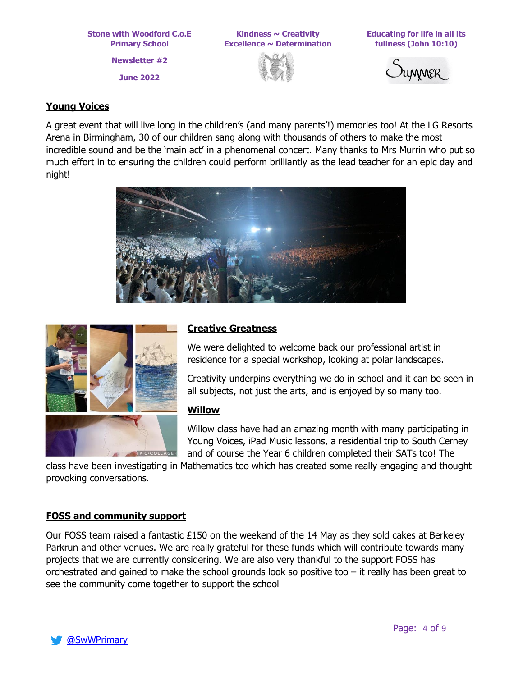**Stone with Woodford C.o.E Primary School Newsletter #2 June 2022**

**Kindness ~ Creativity Excellence ~ Determination**



**Educating for life in all its fullness (John 10:10)**

**IMMER** 

### **Young Voices**

A great event that will live long in the children's (and many parents'!) memories too! At the LG Resorts Arena in Birmingham, 30 of our children sang along with thousands of others to make the most incredible sound and be the 'main act' in a phenomenal concert. Many thanks to Mrs Murrin who put so much effort in to ensuring the children could perform brilliantly as the lead teacher for an epic day and night!





### **Creative Greatness**

We were delighted to welcome back our professional artist in residence for a special workshop, looking at polar landscapes.

Creativity underpins everything we do in school and it can be seen in all subjects, not just the arts, and is enjoyed by so many too.

#### **Willow**

Willow class have had an amazing month with many participating in Young Voices, iPad Music lessons, a residential trip to South Cerney and of course the Year 6 children completed their SATs too! The

class have been investigating in Mathematics too which has created some really engaging and thought provoking conversations.

### **FOSS and community support**

Our FOSS team raised a fantastic £150 on the weekend of the 14 May as they sold cakes at Berkeley Parkrun and other venues. We are really grateful for these funds which will contribute towards many projects that we are currently considering. We are also very thankful to the support FOSS has orchestrated and gained to make the school grounds look so positive too – it really has been great to see the community come together to support the school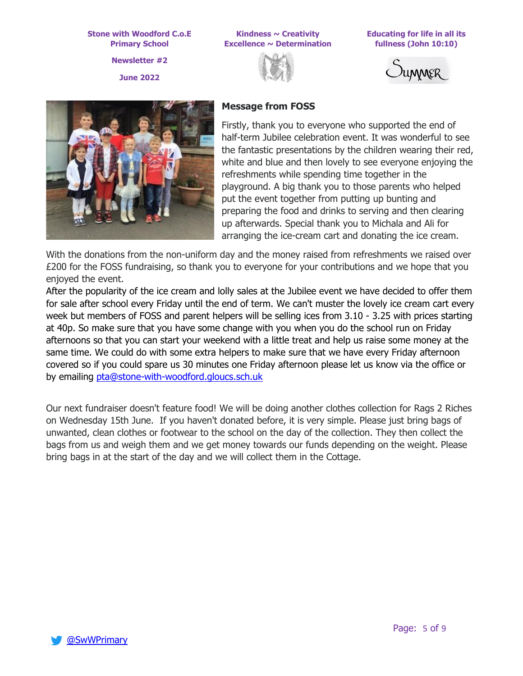**Newsletter #2**

**June 2022**

**Kindness ~ Creativity Excellence ~ Determination**



**Educating for life in all its fullness (John 10:10)**

**UNNER** 



### **Message from FOSS**

Firstly, thank you to everyone who supported the end of half-term Jubilee celebration event. It was wonderful to see the fantastic presentations by the children wearing their red, white and blue and then lovely to see everyone enjoying the refreshments while spending time together in the playground. A big thank you to those parents who helped put the event together from putting up bunting and preparing the food and drinks to serving and then clearing up afterwards. Special thank you to Michala and Ali for arranging the ice-cream cart and donating the ice cream.

With the donations from the non-uniform day and the money raised from refreshments we raised over £200 for the FOSS fundraising, so thank you to everyone for your contributions and we hope that you enjoyed the event.

After the popularity of the ice cream and lolly sales at the Jubilee event we have decided to offer them for sale after school every Friday until the end of term. We can't muster the lovely ice cream cart every week but members of FOSS and parent helpers will be selling ices from 3.10 - 3.25 with prices starting at 40p. So make sure that you have some change with you when you do the school run on Friday afternoons so that you can start your weekend with a little treat and help us raise some money at the same time. We could do with some extra helpers to make sure that we have every Friday afternoon covered so if you could spare us 30 minutes one Friday afternoon please let us know via the office or by emailing [pta@stone-with-woodford.gloucs.sch.uk](mailto:pta@stone-with-woodford.gloucs.sch.uk) 

Our next fundraiser doesn't feature food! We will be doing another clothes collection for Rags 2 Riches on Wednesday 15th June. If you haven't donated before, it is very simple. Please just bring bags of unwanted, clean clothes or footwear to the school on the day of the collection. They then collect the bags from us and weigh them and we get money towards our funds depending on the weight. Please bring bags in at the start of the day and we will collect them in the Cottage.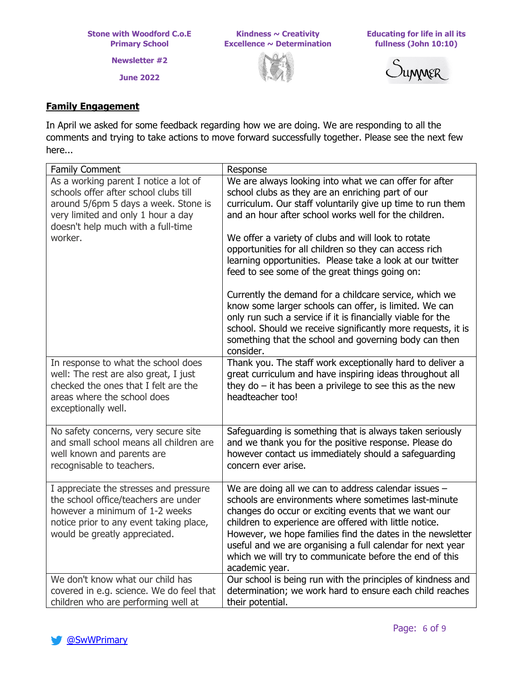> **Newsletter #2 June 2022**

**Kindness ~ Creativity Excellence ~ Determination**



**Educating for life in all its fullness (John 10:10)**

UMMER

### **Family Engagement**

In April we asked for some feedback regarding how we are doing. We are responding to all the comments and trying to take actions to move forward successfully together. Please see the next few here...

| <b>Family Comment</b>                    | Response                                                     |  |  |
|------------------------------------------|--------------------------------------------------------------|--|--|
| As a working parent I notice a lot of    | We are always looking into what we can offer for after       |  |  |
| schools offer after school clubs till    | school clubs as they are an enriching part of our            |  |  |
| around 5/6pm 5 days a week. Stone is     | curriculum. Our staff voluntarily give up time to run them   |  |  |
| very limited and only 1 hour a day       | and an hour after school works well for the children.        |  |  |
| doesn't help much with a full-time       |                                                              |  |  |
| worker.                                  | We offer a variety of clubs and will look to rotate          |  |  |
|                                          | opportunities for all children so they can access rich       |  |  |
|                                          | learning opportunities. Please take a look at our twitter    |  |  |
|                                          | feed to see some of the great things going on:               |  |  |
|                                          | Currently the demand for a childcare service, which we       |  |  |
|                                          | know some larger schools can offer, is limited. We can       |  |  |
|                                          | only run such a service if it is financially viable for the  |  |  |
|                                          | school. Should we receive significantly more requests, it is |  |  |
|                                          | something that the school and governing body can then        |  |  |
|                                          | consider.                                                    |  |  |
| In response to what the school does      | Thank you. The staff work exceptionally hard to deliver a    |  |  |
| well: The rest are also great, I just    | great curriculum and have inspiring ideas throughout all     |  |  |
| checked the ones that I felt are the     | they do $-$ it has been a privilege to see this as the new   |  |  |
| areas where the school does              | headteacher too!                                             |  |  |
| exceptionally well.                      |                                                              |  |  |
| No safety concerns, very secure site     | Safeguarding is something that is always taken seriously     |  |  |
| and small school means all children are  | and we thank you for the positive response. Please do        |  |  |
| well known and parents are               | however contact us immediately should a safeguarding         |  |  |
| recognisable to teachers.                | concern ever arise.                                          |  |  |
| I appreciate the stresses and pressure   | We are doing all we can to address calendar issues -         |  |  |
| the school office/teachers are under     | schools are environments where sometimes last-minute         |  |  |
| however a minimum of 1-2 weeks           | changes do occur or exciting events that we want our         |  |  |
| notice prior to any event taking place,  | children to experience are offered with little notice.       |  |  |
| would be greatly appreciated.            | However, we hope families find the dates in the newsletter   |  |  |
|                                          | useful and we are organising a full calendar for next year   |  |  |
|                                          | which we will try to communicate before the end of this      |  |  |
|                                          | academic year.                                               |  |  |
| We don't know what our child has         | Our school is being run with the principles of kindness and  |  |  |
| covered in e.g. science. We do feel that | determination; we work hard to ensure each child reaches     |  |  |
| children who are performing well at      | their potential.                                             |  |  |

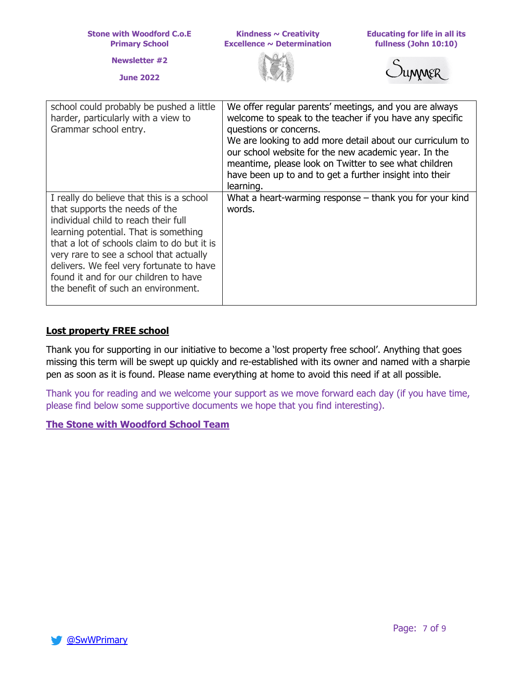|  | <b>Stone with Woodford C.o.E</b> |  |
|--|----------------------------------|--|
|  | <b>Primary School</b>            |  |

**Newsletter #2**

**June 2022**

**Educating for life in all its fullness (John 10:10)**

UMMER

| school could probably be pushed a little<br>harder, particularly with a view to<br>Grammar school entry.                                                                                                                                                                                                                                                                           | We offer regular parents' meetings, and you are always<br>welcome to speak to the teacher if you have any specific<br>questions or concerns.<br>We are looking to add more detail about our curriculum to<br>our school website for the new academic year. In the<br>meantime, please look on Twitter to see what children<br>have been up to and to get a further insight into their<br>learning. |
|------------------------------------------------------------------------------------------------------------------------------------------------------------------------------------------------------------------------------------------------------------------------------------------------------------------------------------------------------------------------------------|----------------------------------------------------------------------------------------------------------------------------------------------------------------------------------------------------------------------------------------------------------------------------------------------------------------------------------------------------------------------------------------------------|
| I really do believe that this is a school<br>that supports the needs of the<br>individual child to reach their full<br>learning potential. That is something<br>that a lot of schools claim to do but it is<br>very rare to see a school that actually<br>delivers. We feel very fortunate to have<br>found it and for our children to have<br>the benefit of such an environment. | What a heart-warming response $-$ thank you for your kind<br>words.                                                                                                                                                                                                                                                                                                                                |

#### **Lost property FREE school**

Thank you for supporting in our initiative to become a 'lost property free school'. Anything that goes missing this term will be swept up quickly and re-established with its owner and named with a sharpie pen as soon as it is found. Please name everything at home to avoid this need if at all possible.

Thank you for reading and we welcome your support as we move forward each day (if you have time, please find below some supportive documents we hope that you find interesting).

### **The Stone with Woodford School Team**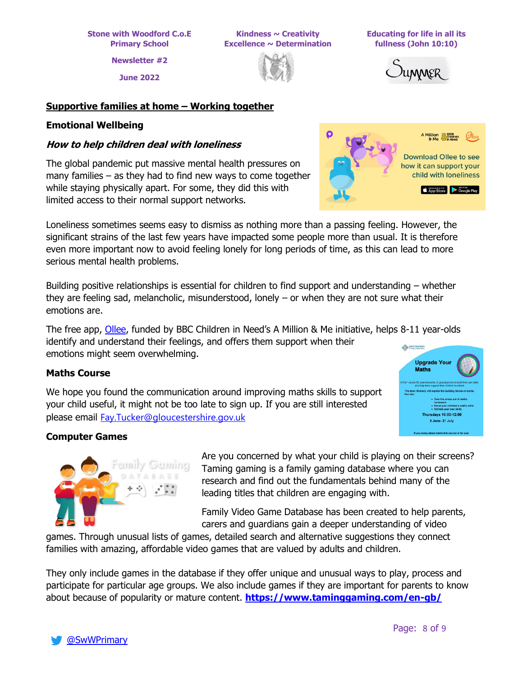**Newsletter #2**

**June 2022**

**Kindness ~ Creativity Excellence ~ Determination**



**Educating for life in all its fullness (John 10:10)**



#### **Supportive families at home – Working together**

#### **Emotional Wellbeing**

#### **How to help children deal with loneliness**

The global pandemic put massive mental health pressures on many families – as they had to find new ways to come together while staying physically apart. For some, they did this with limited access to their normal support networks.

Loneliness sometimes seems easy to dismiss as nothing more than a passing feeling. However, the significant strains of the last few years have impacted some people more than usual. It is therefore even more important now to avoid feeling lonely for long periods of time, as this can lead to more serious mental health problems.

Building positive relationships is essential for children to find support and understanding – whether they are feeling sad, melancholic, misunderstood, lonely – or when they are not sure what their emotions are.

The free app, [Ollee](https://parentzone.org.uk/ollee/download), funded by BBC Children in Need's A Million & Me initiative, helps 8-11 year-olds identify and understand their feelings, and offers them support when their **Adult Education** emotions might seem overwhelming.

### **Maths Course**

We hope you found the communication around improving maths skills to support your child useful, it might not be too late to sign up. If you are still interested please email [Fay.Tucker@gloucestershire.gov.uk](mailto:Fay.Tucker@gloucestershire.gov.uk)





Are you concerned by what your child is playing on their screens? Taming gaming is a family gaming database where you can research and find out the fundamentals behind many of the leading titles that children are engaging with.

Family Video Game Database has been created to help parents, carers and guardians gain a deeper understanding of video

games. Through unusual lists of games, detailed search and alternative suggestions they connect families with amazing, affordable video games that are valued by adults and children.

They only include games in the database if they offer unique and unusual ways to play, process and participate for particular age groups. We also include games if they are important for parents to know about because of popularity or mature content. **<https://www.taminggaming.com/en-gb/>**